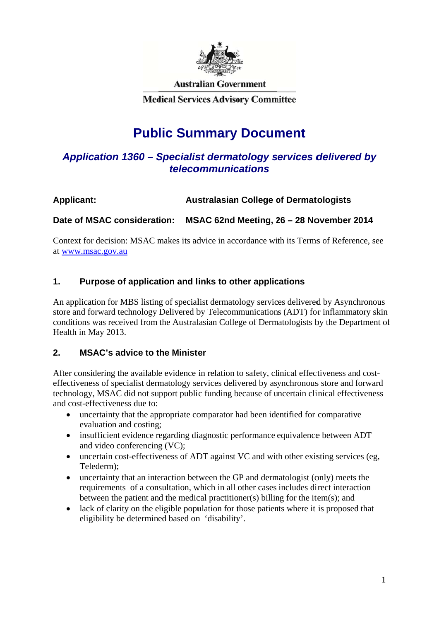

**Australian Government** 

**Medical Services Advisory Committee** 

# **Public Summary Document**

# Application 1360 - Specialist dermatology services delivered by *teleco ommunic cations*

#### **Applic cant: Australasian College of Dermatologists**

#### Date of MSAC consideration: MSAC 62nd Meeting, 26 - 28 November 2014

Context for decision: MSAC makes its advice in accordance with its Terms of Reference, see at www.msac.gov.au

#### **1. Purpose of application and links to other applications**

An application for MBS listing of specialist dermatology services delivered by Asynchronous store and forward technology Delivered by Telecommunications (ADT) for inflammatory skin conditions was received from the Australasian College of Dermatologists by the Department of Health in May 2013.

#### **2. MSAC's a advice to t the Ministe er**

After considering the available evidence in relation to safety, clinical effectiveness and costeffectiveness of specialist dermatology services delivered by asynchronous store and forward technology, MSAC did not support public funding because of uncertain clinical effectiveness and cost-effectiveness due to:

- $\bullet$ uncertainty that the appropriate comparator had been identified for comparative evaluation and costing;
- insufficient evidence regarding diagnostic performance equivalence between ADT and video c conferencin g (VC);
- uncertain cost-effectiveness of ADT against VC and with other existing services (eg, Telederm);
- $\bullet$ uncertainty that an interaction between the GP and dermatologist (only) meets the requirements of a consultation, which in all other cases includes direct interaction between the patient and the medical practitioner(s) billing for the item(s); and
- $\bullet$ lack of clarity on the eligible population for those patients where it is proposed that eligibility be determined based on 'disability'.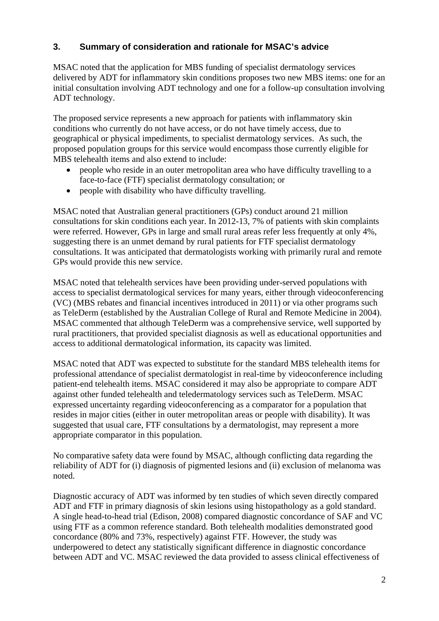#### **3. Summary of consideration and rationale for MSAC's advice**

MSAC noted that the application for MBS funding of specialist dermatology services delivered by ADT for inflammatory skin conditions proposes two new MBS items: one for an initial consultation involving ADT technology and one for a follow-up consultation involving ADT technology.

The proposed service represents a new approach for patients with inflammatory skin conditions who currently do not have access, or do not have timely access, due to geographical or physical impediments, to specialist dermatology services. As such, the proposed population groups for this service would encompass those currently eligible for MBS telehealth items and also extend to include:

- people who reside in an outer metropolitan area who have difficulty travelling to a face-to-face (FTF) specialist dermatology consultation; or
- $\bullet$  people with disability who have difficulty travelling.

MSAC noted that Australian general practitioners (GPs) conduct around 21 million consultations for skin conditions each year. In 2012-13, 7% of patients with skin complaints were referred. However, GPs in large and small rural areas refer less frequently at only 4%, suggesting there is an unmet demand by rural patients for FTF specialist dermatology consultations. It was anticipated that dermatologists working with primarily rural and remote GPs would provide this new service.

MSAC noted that telehealth services have been providing under-served populations with access to specialist dermatological services for many years, either through videoconferencing (VC) (MBS rebates and financial incentives introduced in 2011) or via other programs such as TeleDerm (established by the Australian College of Rural and Remote Medicine in 2004). MSAC commented that although TeleDerm was a comprehensive service, well supported by rural practitioners, that provided specialist diagnosis as well as educational opportunities and access to additional dermatological information, its capacity was limited.

MSAC noted that ADT was expected to substitute for the standard MBS telehealth items for professional attendance of specialist dermatologist in real-time by videoconference including patient-end telehealth items. MSAC considered it may also be appropriate to compare ADT against other funded telehealth and teledermatology services such as TeleDerm. MSAC expressed uncertainty regarding videoconferencing as a comparator for a population that resides in major cities (either in outer metropolitan areas or people with disability). It was suggested that usual care, FTF consultations by a dermatologist, may represent a more appropriate comparator in this population.

No comparative safety data were found by MSAC, although conflicting data regarding the reliability of ADT for (i) diagnosis of pigmented lesions and (ii) exclusion of melanoma was noted.

Diagnostic accuracy of ADT was informed by ten studies of which seven directly compared ADT and FTF in primary diagnosis of skin lesions using histopathology as a gold standard. A single head-to-head trial (Edison, 2008) compared diagnostic concordance of SAF and VC using FTF as a common reference standard. Both telehealth modalities demonstrated good concordance (80% and 73%, respectively) against FTF. However, the study was underpowered to detect any statistically significant difference in diagnostic concordance between ADT and VC. MSAC reviewed the data provided to assess clinical effectiveness of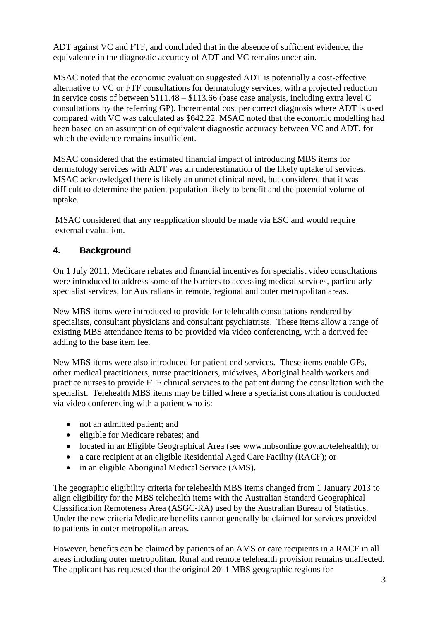ADT against VC and FTF, and concluded that in the absence of sufficient evidence, the equivalence in the diagnostic accuracy of ADT and VC remains uncertain.

MSAC noted that the economic evaluation suggested ADT is potentially a cost-effective alternative to VC or FTF consultations for dermatology services, with a projected reduction in service costs of between \$111.48 – \$113.66 (base case analysis, including extra level C consultations by the referring GP). Incremental cost per correct diagnosis where ADT is used compared with VC was calculated as \$642.22. MSAC noted that the economic modelling had been based on an assumption of equivalent diagnostic accuracy between VC and ADT, for which the evidence remains insufficient.

MSAC considered that the estimated financial impact of introducing MBS items for dermatology services with ADT was an underestimation of the likely uptake of services. MSAC acknowledged there is likely an unmet clinical need, but considered that it was difficult to determine the patient population likely to benefit and the potential volume of uptake.

MSAC considered that any reapplication should be made via ESC and would require external evaluation.

## **4. Background**

On 1 July 2011, Medicare rebates and financial incentives for specialist video consultations were introduced to address some of the barriers to accessing medical services, particularly specialist services, for Australians in remote, regional and outer metropolitan areas.

New MBS items were introduced to provide for telehealth consultations rendered by specialists, consultant physicians and consultant psychiatrists. These items allow a range of existing MBS attendance items to be provided via video conferencing, with a derived fee adding to the base item fee.

New MBS items were also introduced for patient-end services. These items enable GPs, other medical practitioners, nurse practitioners, midwives, Aboriginal health workers and practice nurses to provide FTF clinical services to the patient during the consultation with the specialist. Telehealth MBS items may be billed where a specialist consultation is conducted via video conferencing with a patient who is:

- not an admitted patient; and
- eligible for Medicare rebates; and
- located in an Eligible Geographical Area (see www.mbsonline.gov.au/telehealth); or
- a care recipient at an eligible Residential Aged Care Facility (RACF); or
- in an eligible Aboriginal Medical Service (AMS).

The geographic eligibility criteria for telehealth MBS items changed from 1 January 2013 to align eligibility for the MBS telehealth items with the Australian Standard Geographical Classification Remoteness Area (ASGC-RA) used by the Australian Bureau of Statistics. Under the new criteria Medicare benefits cannot generally be claimed for services provided to patients in outer metropolitan areas.

However, benefits can be claimed by patients of an AMS or care recipients in a RACF in all areas including outer metropolitan. Rural and remote telehealth provision remains unaffected. The applicant has requested that the original 2011 MBS geographic regions for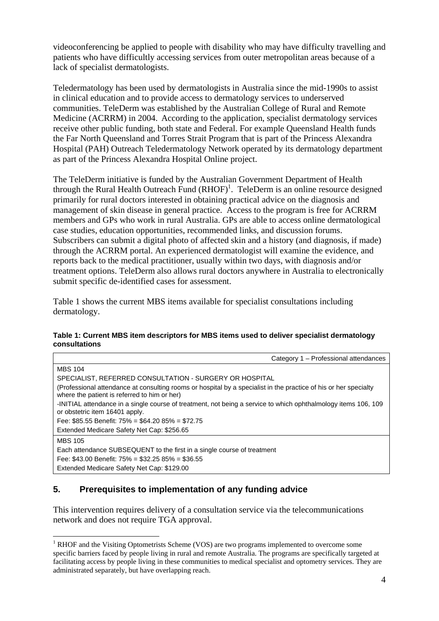videoconferencing be applied to people with disability who may have difficulty travelling and patients who have difficultly accessing services from outer metropolitan areas because of a lack of specialist dermatologists.

Teledermatology has been used by dermatologists in Australia since the mid-1990s to assist in clinical education and to provide access to dermatology services to underserved communities. TeleDerm was established by the Australian College of Rural and Remote Medicine (ACRRM) in 2004. According to the application, specialist dermatology services receive other public funding, both state and Federal. For example Queensland Health funds the Far North Queensland and Torres Strait Program that is part of the Princess Alexandra Hospital (PAH) Outreach Teledermatology Network operated by its dermatology department as part of the Princess Alexandra Hospital Online project.

The TeleDerm initiative is funded by the Australian Government Department of Health through the Rural Health Outreach Fund  $(RHOF)^1$ . TeleDerm is an online resource designed primarily for rural doctors interested in obtaining practical advice on the diagnosis and management of skin disease in general practice. Access to the program is free for ACRRM members and GPs who work in rural Australia. GPs are able to access online dermatological case studies, education opportunities, recommended links, and discussion forums. Subscribers can submit a digital photo of affected skin and a history (and diagnosis, if made) through the ACRRM portal. An experienced dermatologist will examine the evidence, and reports back to the medical practitioner, usually within two days, with diagnosis and/or treatment options. TeleDerm also allows rural doctors anywhere in Australia to electronically submit specific de-identified cases for assessment.

Table 1 shows the current MBS items available for specialist consultations including dermatology.

#### **Table 1: Current MBS item descriptors for MBS items used to deliver specialist dermatology consultations**

| Category 1 - Professional attendances                                                                                                                            |
|------------------------------------------------------------------------------------------------------------------------------------------------------------------|
| <b>MBS 104</b>                                                                                                                                                   |
| SPECIALIST, REFERRED CONSULTATION - SURGERY OR HOSPITAL                                                                                                          |
| (Professional attendance at consulting rooms or hospital by a specialist in the practice of his or her specialty<br>where the patient is referred to him or her) |
| -INITIAL attendance in a single course of treatment, not being a service to which ophthalmology items 106, 109<br>or obstetric item 16401 apply.                 |
| Fee: \$85.55 Benefit: $75\% = $64.2085\% = $72.75$                                                                                                               |
| Extended Medicare Safety Net Cap: \$256.65                                                                                                                       |
| <b>MBS 105</b>                                                                                                                                                   |
| Each attendance SUBSEQUENT to the first in a single course of treatment                                                                                          |
| Fee: \$43.00 Benefit: $75\% = $32.2586\% = $36.55$                                                                                                               |
| Extended Medicare Safety Net Cap: \$129.00                                                                                                                       |

#### **5. Prerequisites to implementation of any funding advice**

1

This intervention requires delivery of a consultation service via the telecommunications network and does not require TGA approval.

<sup>&</sup>lt;sup>1</sup> RHOF and the Visiting Optometrists Scheme (VOS) are two programs implemented to overcome some specific barriers faced by people living in rural and remote Australia. The programs are specifically targeted at facilitating access by people living in these communities to medical specialist and optometry services. They are administrated separately, but have overlapping reach.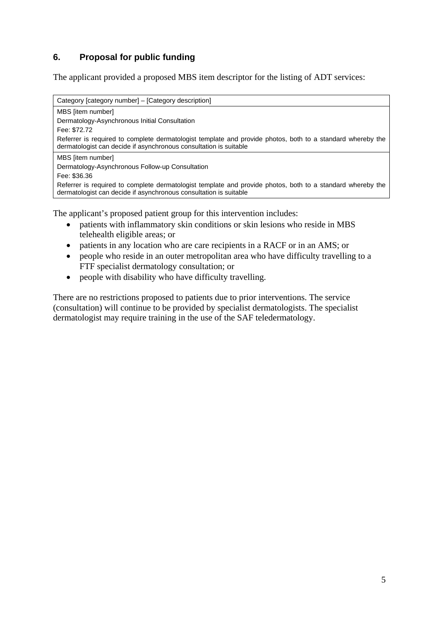# **6. Proposal for public funding**

The applicant provided a proposed MBS item descriptor for the listing of ADT services:

Category [category number] – [Category description] MBS [item number] Dermatology-Asynchronous Initial Consultation Fee: \$72.72 Referrer is required to complete dermatologist template and provide photos, both to a standard whereby the dermatologist can decide if asynchronous consultation is suitable MBS [item number] Dermatology-Asynchronous Follow-up Consultation Fee: \$36.36 Referrer is required to complete dermatologist template and provide photos, both to a standard whereby the dermatologist can decide if asynchronous consultation is suitable

The applicant's proposed patient group for this intervention includes:

- patients with inflammatory skin conditions or skin lesions who reside in MBS telehealth eligible areas; or
- patients in any location who are care recipients in a RACF or in an AMS; or
- people who reside in an outer metropolitan area who have difficulty travelling to a FTF specialist dermatology consultation; or
- people with disability who have difficulty travelling.

There are no restrictions proposed to patients due to prior interventions. The service (consultation) will continue to be provided by specialist dermatologists. The specialist dermatologist may require training in the use of the SAF teledermatology.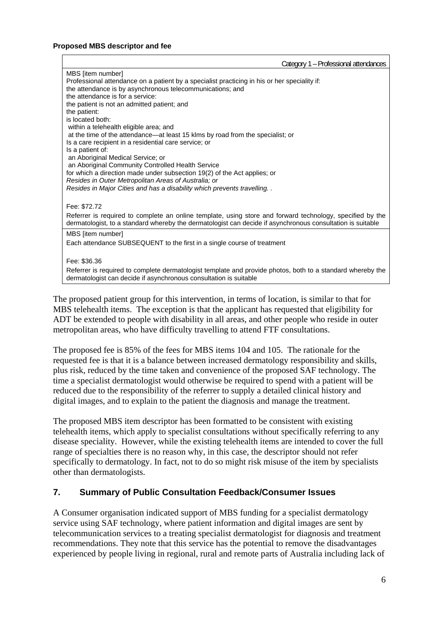#### **Proposed MBS descriptor and fee**

| Category 1 - Professional attendances                                                                                                                                                                                   |
|-------------------------------------------------------------------------------------------------------------------------------------------------------------------------------------------------------------------------|
| MBS [item number]<br>Professional attendance on a patient by a specialist practicing in his or her speciality if:<br>the attendance is by asynchronous telecommunications; and<br>the attendance is for a service:      |
| the patient is not an admitted patient; and<br>the patient:<br>is located both:<br>within a telehealth eligible area; and                                                                                               |
| at the time of the attendance-at least 15 klms by road from the specialist; or<br>Is a care recipient in a residential care service; or<br>Is a patient of:<br>an Aboriginal Medical Service; or                        |
| an Aboriginal Community Controlled Health Service<br>for which a direction made under subsection 19(2) of the Act applies; or<br>Resides in Outer Metropolitan Areas of Australia; or                                   |
| Resides in Major Cities and has a disability which prevents travelling<br>Fee: \$72.72                                                                                                                                  |
| Referrer is required to complete an online template, using store and forward technology, specified by the<br>dermatologist, to a standard whereby the dermatologist can decide if asynchronous consultation is suitable |
| MBS [item number]<br>Each attendance SUBSEQUENT to the first in a single course of treatment                                                                                                                            |
| Fee: \$36.36                                                                                                                                                                                                            |
| Referrer is required to complete dermatologist template and provide photos, both to a standard whereby the<br>dermatologist can decide if asynchronous consultation is suitable                                         |

The proposed patient group for this intervention, in terms of location, is similar to that for MBS telehealth items. The exception is that the applicant has requested that eligibility for ADT be extended to people with disability in all areas, and other people who reside in outer metropolitan areas, who have difficulty travelling to attend FTF consultations.

The proposed fee is 85% of the fees for MBS items 104 and 105. The rationale for the requested fee is that it is a balance between increased dermatology responsibility and skills, plus risk, reduced by the time taken and convenience of the proposed SAF technology. The time a specialist dermatologist would otherwise be required to spend with a patient will be reduced due to the responsibility of the referrer to supply a detailed clinical history and digital images, and to explain to the patient the diagnosis and manage the treatment.

The proposed MBS item descriptor has been formatted to be consistent with existing telehealth items, which apply to specialist consultations without specifically referring to any disease speciality. However, while the existing telehealth items are intended to cover the full range of specialties there is no reason why, in this case, the descriptor should not refer specifically to dermatology. In fact, not to do so might risk misuse of the item by specialists other than dermatologists.

#### **7. Summary of Public Consultation Feedback/Consumer Issues**

A Consumer organisation indicated support of MBS funding for a specialist dermatology service using SAF technology, where patient information and digital images are sent by telecommunication services to a treating specialist dermatologist for diagnosis and treatment recommendations. They note that this service has the potential to remove the disadvantages experienced by people living in regional, rural and remote parts of Australia including lack of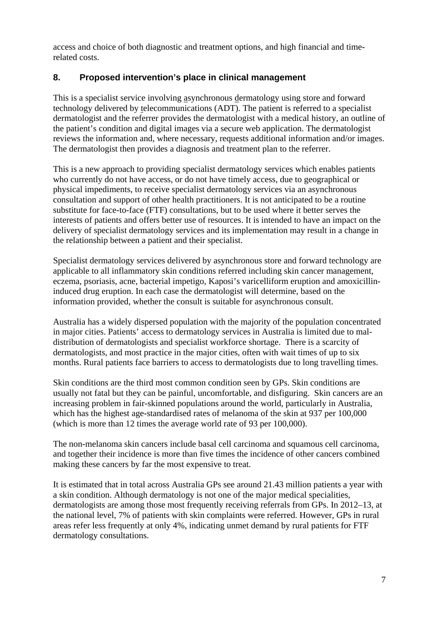access and choice of both diagnostic and treatment options, and high financial and timerelated costs.

## **8. Proposed intervention's place in clinical management**

This is a specialist service involving asynchronous dermatology using store and forward technology delivered by telecommunications (ADT). The patient is referred to a specialist dermatologist and the referrer provides the dermatologist with a medical history, an outline of the patient's condition and digital images via a secure web application. The dermatologist reviews the information and, where necessary, requests additional information and/or images. The dermatologist then provides a diagnosis and treatment plan to the referrer.

This is a new approach to providing specialist dermatology services which enables patients who currently do not have access, or do not have timely access, due to geographical or physical impediments, to receive specialist dermatology services via an asynchronous consultation and support of other health practitioners. It is not anticipated to be a routine substitute for face-to-face (FTF) consultations, but to be used where it better serves the interests of patients and offers better use of resources. It is intended to have an impact on the delivery of specialist dermatology services and its implementation may result in a change in the relationship between a patient and their specialist.

Specialist dermatology services delivered by asynchronous store and forward technology are applicable to all inflammatory skin conditions referred including skin cancer management, eczema, psoriasis, acne, bacterial impetigo, Kaposi's varicelliform eruption and amoxicillininduced drug eruption. In each case the dermatologist will determine, based on the information provided, whether the consult is suitable for asynchronous consult.

Australia has a widely dispersed population with the majority of the population concentrated in major cities. Patients' access to dermatology services in Australia is limited due to maldistribution of dermatologists and specialist workforce shortage. There is a scarcity of dermatologists, and most practice in the major cities, often with wait times of up to six months. Rural patients face barriers to access to dermatologists due to long travelling times.

Skin conditions are the third most common condition seen by GPs. Skin conditions are usually not fatal but they can be painful, uncomfortable, and disfiguring. Skin cancers are an increasing problem in fair-skinned populations around the world, particularly in Australia, which has the highest age-standardised rates of melanoma of the skin at 937 per 100,000 (which is more than 12 times the average world rate of 93 per 100,000).

The non-melanoma skin cancers include basal cell carcinoma and squamous cell carcinoma, and together their incidence is more than five times the incidence of other cancers combined making these cancers by far the most expensive to treat.

It is estimated that in total across Australia GPs see around 21.43 million patients a year with a skin condition. Although dermatology is not one of the major medical specialities, dermatologists are among those most frequently receiving referrals from GPs. In 2012–13, at the national level, 7% of patients with skin complaints were referred. However, GPs in rural areas refer less frequently at only 4%, indicating unmet demand by rural patients for FTF dermatology consultations.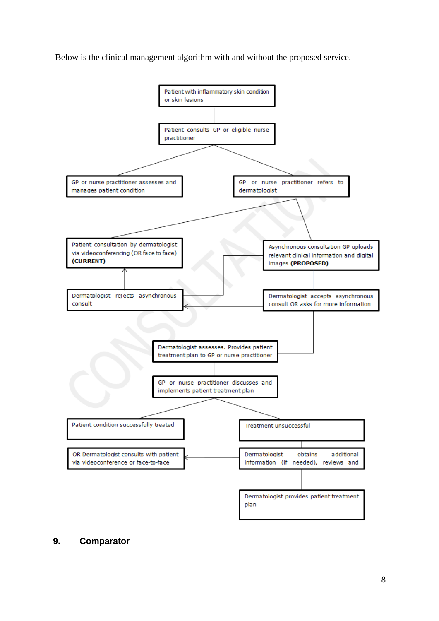Below is the clinical management algorithm with and without the proposed service.



#### **9. Comparator**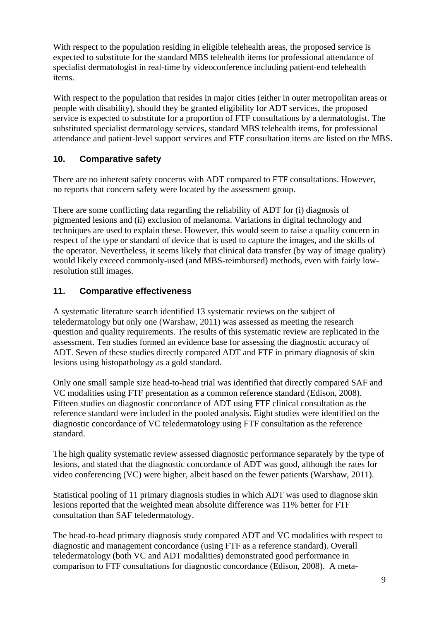With respect to the population residing in eligible telehealth areas, the proposed service is expected to substitute for the standard MBS telehealth items for professional attendance of specialist dermatologist in real-time by videoconference including patient-end telehealth items.

With respect to the population that resides in major cities (either in outer metropolitan areas or people with disability), should they be granted eligibility for ADT services, the proposed service is expected to substitute for a proportion of FTF consultations by a dermatologist. The substituted specialist dermatology services, standard MBS telehealth items, for professional attendance and patient-level support services and FTF consultation items are listed on the MBS.

## **10. Comparative safety**

There are no inherent safety concerns with ADT compared to FTF consultations. However, no reports that concern safety were located by the assessment group.

There are some conflicting data regarding the reliability of ADT for (i) diagnosis of pigmented lesions and (ii) exclusion of melanoma. Variations in digital technology and techniques are used to explain these. However, this would seem to raise a quality concern in respect of the type or standard of device that is used to capture the images, and the skills of the operator. Nevertheless, it seems likely that clinical data transfer (by way of image quality) would likely exceed commonly-used (and MBS-reimbursed) methods, even with fairly lowresolution still images.

# **11. Comparative effectiveness**

A systematic literature search identified 13 systematic reviews on the subject of teledermatology but only one (Warshaw, 2011) was assessed as meeting the research question and quality requirements. The results of this systematic review are replicated in the assessment. Ten studies formed an evidence base for assessing the diagnostic accuracy of ADT. Seven of these studies directly compared ADT and FTF in primary diagnosis of skin lesions using histopathology as a gold standard.

Only one small sample size head-to-head trial was identified that directly compared SAF and VC modalities using FTF presentation as a common reference standard (Edison, 2008). Fifteen studies on diagnostic concordance of ADT using FTF clinical consultation as the reference standard were included in the pooled analysis. Eight studies were identified on the diagnostic concordance of VC teledermatology using FTF consultation as the reference standard.

The high quality systematic review assessed diagnostic performance separately by the type of lesions, and stated that the diagnostic concordance of ADT was good, although the rates for video conferencing (VC) were higher, albeit based on the fewer patients (Warshaw, 2011).

Statistical pooling of 11 primary diagnosis studies in which ADT was used to diagnose skin lesions reported that the weighted mean absolute difference was 11% better for FTF consultation than SAF teledermatology.

The head-to-head primary diagnosis study compared ADT and VC modalities with respect to diagnostic and management concordance (using FTF as a reference standard). Overall teledermatology (both VC and ADT modalities) demonstrated good performance in comparison to FTF consultations for diagnostic concordance (Edison, 2008). A meta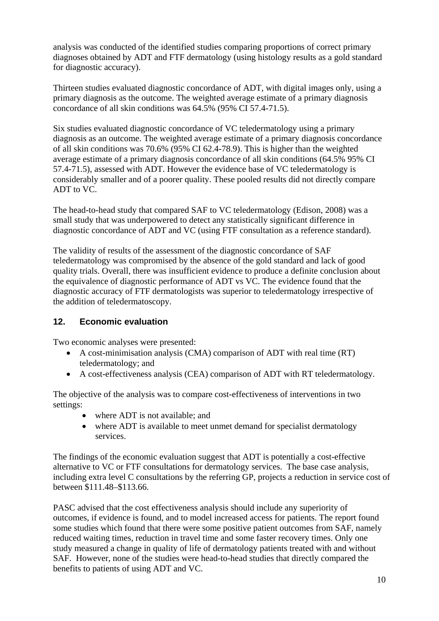analysis was conducted of the identified studies comparing proportions of correct primary diagnoses obtained by ADT and FTF dermatology (using histology results as a gold standard for diagnostic accuracy).

Thirteen studies evaluated diagnostic concordance of ADT, with digital images only, using a primary diagnosis as the outcome. The weighted average estimate of a primary diagnosis concordance of all skin conditions was 64.5% (95% CI 57.4-71.5).

Six studies evaluated diagnostic concordance of VC teledermatology using a primary diagnosis as an outcome. The weighted average estimate of a primary diagnosis concordance of all skin conditions was 70.6% (95% CI 62.4-78.9). This is higher than the weighted average estimate of a primary diagnosis concordance of all skin conditions (64.5% 95% CI 57.4-71.5), assessed with ADT. However the evidence base of VC teledermatology is considerably smaller and of a poorer quality. These pooled results did not directly compare ADT to VC.

The head-to-head study that compared SAF to VC teledermatology (Edison, 2008) was a small study that was underpowered to detect any statistically significant difference in diagnostic concordance of ADT and VC (using FTF consultation as a reference standard).

The validity of results of the assessment of the diagnostic concordance of SAF teledermatology was compromised by the absence of the gold standard and lack of good quality trials. Overall, there was insufficient evidence to produce a definite conclusion about the equivalence of diagnostic performance of ADT vs VC. The evidence found that the diagnostic accuracy of FTF dermatologists was superior to teledermatology irrespective of the addition of teledermatoscopy.

#### **12. Economic evaluation**

Two economic analyses were presented:

- A cost-minimisation analysis (CMA) comparison of ADT with real time (RT) teledermatology; and
- A cost-effectiveness analysis (CEA) comparison of ADT with RT teledermatology.

The objective of the analysis was to compare cost-effectiveness of interventions in two settings:

- where ADT is not available; and
- where ADT is available to meet unmet demand for specialist dermatology services.

The findings of the economic evaluation suggest that ADT is potentially a cost-effective alternative to VC or FTF consultations for dermatology services. The base case analysis, including extra level C consultations by the referring GP, projects a reduction in service cost of between \$111.48–\$113.66.

PASC advised that the cost effectiveness analysis should include any superiority of outcomes, if evidence is found, and to model increased access for patients. The report found some studies which found that there were some positive patient outcomes from SAF, namely reduced waiting times, reduction in travel time and some faster recovery times. Only one study measured a change in quality of life of dermatology patients treated with and without SAF. However, none of the studies were head-to-head studies that directly compared the benefits to patients of using ADT and VC.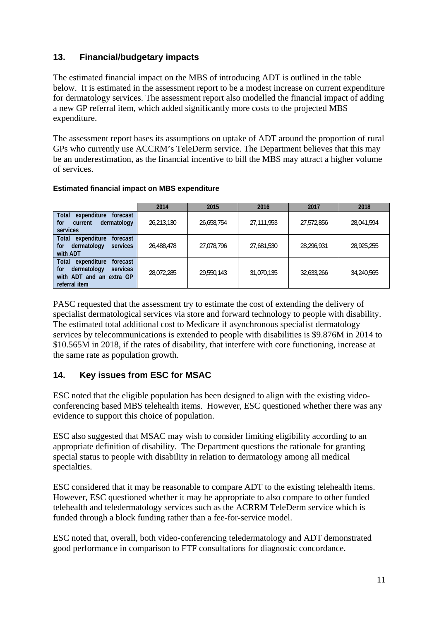### **13. Financial/budgetary impacts**

The estimated financial impact on the MBS of introducing ADT is outlined in the table below. It is estimated in the assessment report to be a modest increase on current expenditure for dermatology services. The assessment report also modelled the financial impact of adding a new GP referral item, which added significantly more costs to the projected MBS expenditure.

The assessment report bases its assumptions on uptake of ADT around the proportion of rural GPs who currently use ACCRM's TeleDerm service. The Department believes that this may be an underestimation, as the financial incentive to bill the MBS may attract a higher volume of services.

#### **Estimated financial impact on MBS expenditure**

|                                                                                                                        | 2014       | 2015       | 2016       | 2017       | 2018       |
|------------------------------------------------------------------------------------------------------------------------|------------|------------|------------|------------|------------|
| <b>Total</b><br>expenditure<br>forecast<br>dermatology<br>for<br>current<br>services                                   | 26,213,130 | 26,658,754 | 27,111,953 | 27,572,856 | 28,041,594 |
| <b>Total</b><br>expenditure<br>forecast<br>dermatology<br>services<br>for<br>with ADT                                  | 26,488,478 | 27,078,796 | 27,681,530 | 28,296,931 | 28,925,255 |
| <b>Total</b><br>expenditure<br>forecast<br>dermatology<br>services<br>for<br>with ADT and an extra GP<br>referral item | 28,072,285 | 29,550,143 | 31,070,135 | 32.633.266 | 34.240.565 |

PASC requested that the assessment try to estimate the cost of extending the delivery of specialist dermatological services via store and forward technology to people with disability. The estimated total additional cost to Medicare if asynchronous specialist dermatology services by telecommunications is extended to people with disabilities is \$9.876M in 2014 to \$10.565M in 2018, if the rates of disability, that interfere with core functioning, increase at the same rate as population growth.

#### **14. Key issues from ESC for MSAC**

ESC noted that the eligible population has been designed to align with the existing videoconferencing based MBS telehealth items. However, ESC questioned whether there was any evidence to support this choice of population.

ESC also suggested that MSAC may wish to consider limiting eligibility according to an appropriate definition of disability. The Department questions the rationale for granting special status to people with disability in relation to dermatology among all medical specialties.

ESC considered that it may be reasonable to compare ADT to the existing telehealth items. However, ESC questioned whether it may be appropriate to also compare to other funded telehealth and teledermatology services such as the ACRRM TeleDerm service which is funded through a block funding rather than a fee-for-service model.

ESC noted that, overall, both video-conferencing teledermatology and ADT demonstrated good performance in comparison to FTF consultations for diagnostic concordance.